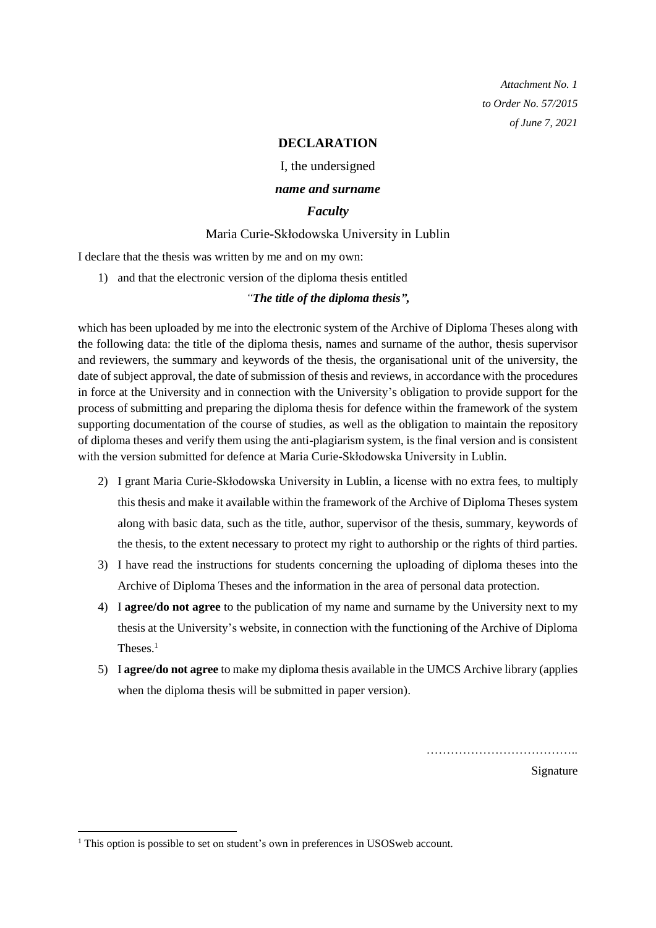*Attachment No. 1 to Order No. 57/2015 of June 7, 2021*

## **DECLARATION**

I, the undersigned

### *name and surname*

# *Faculty*

## Maria Curie-Skłodowska University in Lublin

I declare that the thesis was written by me and on my own:

1) and that the electronic version of the diploma thesis entitled

#### *"The title of the diploma thesis",*

which has been uploaded by me into the electronic system of the Archive of Diploma Theses along with the following data: the title of the diploma thesis, names and surname of the author, thesis supervisor and reviewers, the summary and keywords of the thesis, the organisational unit of the university, the date of subject approval, the date of submission of thesis and reviews, in accordance with the procedures in force at the University and in connection with the University's obligation to provide support for the process of submitting and preparing the diploma thesis for defence within the framework of the system supporting documentation of the course of studies, as well as the obligation to maintain the repository of diploma theses and verify them using the anti-plagiarism system, is the final version and is consistent with the version submitted for defence at Maria Curie-Skłodowska University in Lublin.

- 2) I grant Maria Curie-Skłodowska University in Lublin, a license with no extra fees, to multiply this thesis and make it available within the framework of the Archive of Diploma Theses system along with basic data, such as the title, author, supervisor of the thesis, summary, keywords of the thesis, to the extent necessary to protect my right to authorship or the rights of third parties.
- 3) I have read the instructions for students concerning the uploading of diploma theses into the Archive of Diploma Theses and the information in the area of personal data protection.
- 4) I **agree/do not agree** to the publication of my name and surname by the University next to my thesis at the University's website, in connection with the functioning of the Archive of Diploma Theses.<sup>1</sup>
- 5) I **agree/do not agree** to make my diploma thesis available in the UMCS Archive library (applies when the diploma thesis will be submitted in paper version).

………………………………..

Signature

1

<sup>&</sup>lt;sup>1</sup> This option is possible to set on student's own in preferences in USOS web account.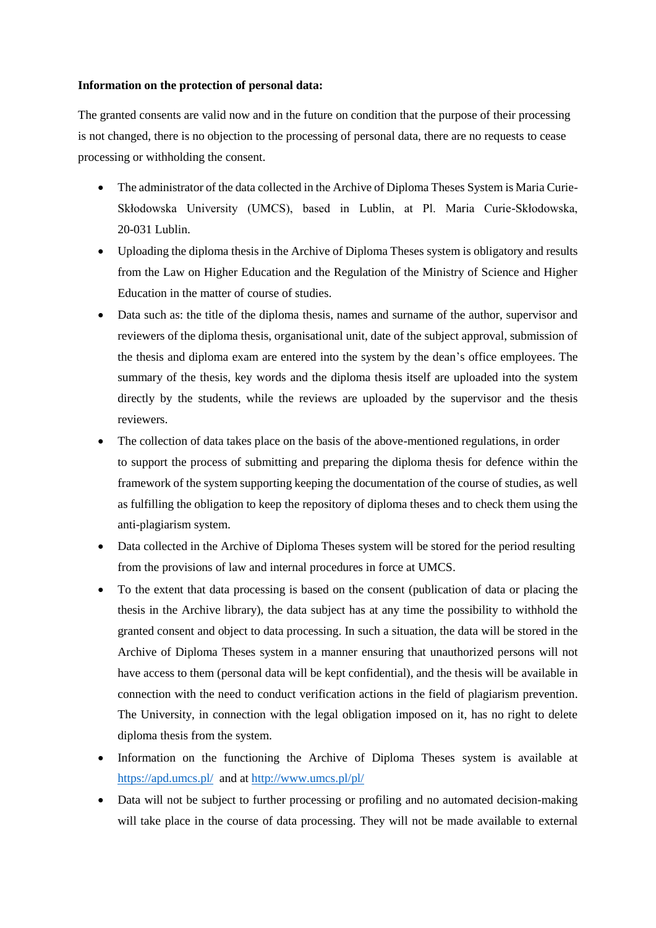#### **Information on the protection of personal data:**

The granted consents are valid now and in the future on condition that the purpose of their processing is not changed, there is no objection to the processing of personal data, there are no requests to cease processing or withholding the consent.

- The administrator of the data collected in the Archive of Diploma Theses System is Maria Curie-Skłodowska University (UMCS), based in Lublin, at Pl. Maria Curie-Skłodowska, 20-031 Lublin.
- Uploading the diploma thesis in the Archive of Diploma Theses system is obligatory and results from the Law on Higher Education and the Regulation of the Ministry of Science and Higher Education in the matter of course of studies.
- Data such as: the title of the diploma thesis, names and surname of the author, supervisor and reviewers of the diploma thesis, organisational unit, date of the subject approval, submission of the thesis and diploma exam are entered into the system by the dean's office employees. The summary of the thesis, key words and the diploma thesis itself are uploaded into the system directly by the students, while the reviews are uploaded by the supervisor and the thesis reviewers.
- The collection of data takes place on the basis of the above-mentioned regulations, in order to support the process of submitting and preparing the diploma thesis for defence within the framework of the system supporting keeping the documentation of the course of studies, as well as fulfilling the obligation to keep the repository of diploma theses and to check them using the anti-plagiarism system.
- Data collected in the Archive of Diploma Theses system will be stored for the period resulting from the provisions of law and internal procedures in force at UMCS.
- To the extent that data processing is based on the consent (publication of data or placing the thesis in the Archive library), the data subject has at any time the possibility to withhold the granted consent and object to data processing. In such a situation, the data will be stored in the Archive of Diploma Theses system in a manner ensuring that unauthorized persons will not have access to them (personal data will be kept confidential), and the thesis will be available in connection with the need to conduct verification actions in the field of plagiarism prevention. The University, in connection with the legal obligation imposed on it, has no right to delete diploma thesis from the system.
- Information on the functioning the Archive of Diploma Theses system is available at <https://apd.umcs.pl/> and at<http://www.umcs.pl/pl/>
- Data will not be subject to further processing or profiling and no automated decision-making will take place in the course of data processing. They will not be made available to external